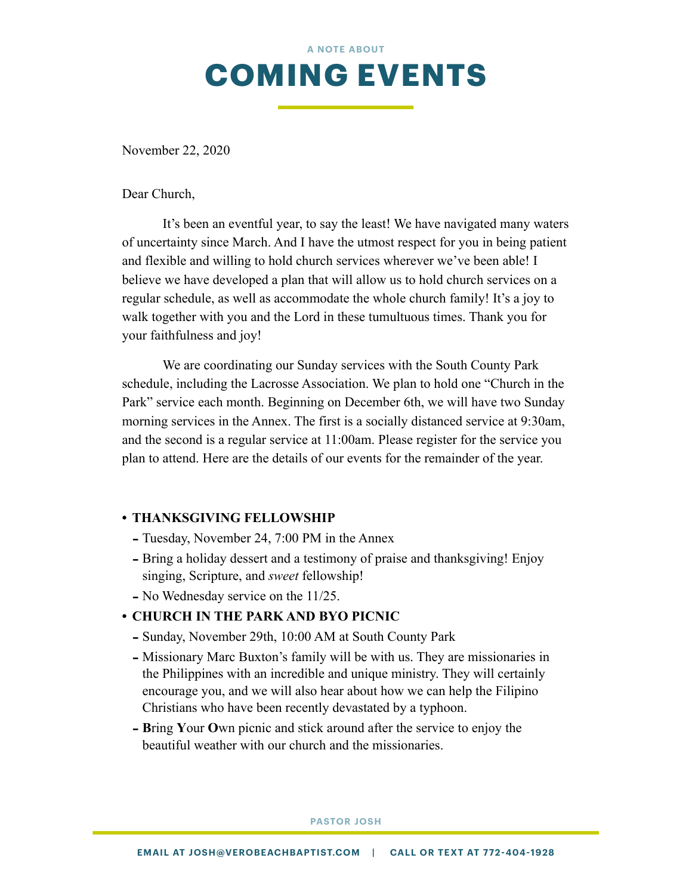

November 22, 2020

Dear Church,

 It's been an eventful year, to say the least! We have navigated many waters of uncertainty since March. And I have the utmost respect for you in being patient and flexible and willing to hold church services wherever we've been able! I believe we have developed a plan that will allow us to hold church services on a regular schedule, as well as accommodate the whole church family! It's a joy to walk together with you and the Lord in these tumultuous times. Thank you for your faithfulness and joy!

 We are coordinating our Sunday services with the South County Park schedule, including the Lacrosse Association. We plan to hold one "Church in the Park" service each month. Beginning on December 6th, we will have two Sunday morning services in the Annex. The first is a socially distanced service at 9:30am, and the second is a regular service at 11:00am. Please register for the service you plan to attend. Here are the details of our events for the remainder of the year.

#### **• THANKSGIVING FELLOWSHIP**

- Tuesday, November 24, 7:00 PM in the Annex
- Bring a holiday dessert and a testimony of praise and thanksgiving! Enjoy singing, Scripture, and *sweet* fellowship!
- No Wednesday service on the 11/25.

## **• CHURCH IN THE PARK AND BYO PICNIC**

- Sunday, November 29th, 10:00 AM at South County Park
- Missionary Marc Buxton's family will be with us. They are missionaries in the Philippines with an incredible and unique ministry. They will certainly encourage you, and we will also hear about how we can help the Filipino Christians who have been recently devastated by a typhoon.
- **<sup>B</sup>**ring **Y**our **O**wn picnic and stick around after the service to enjoy the beautiful weather with our church and the missionaries.

#### **PASTOR JOSH**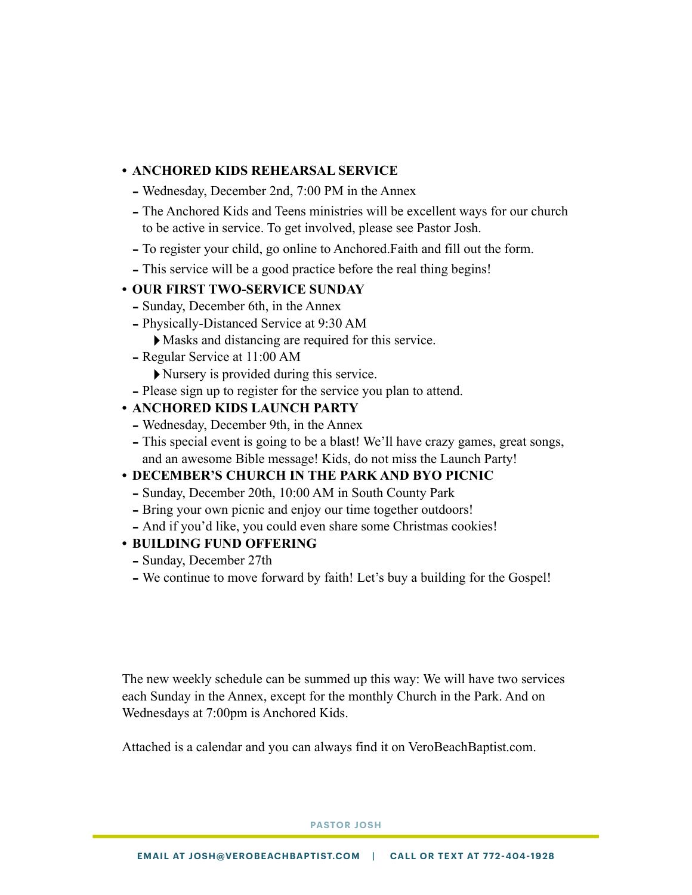# **• ANCHORED KIDS REHEARSAL SERVICE**

- Wednesday, December 2nd, 7:00 PM in the Annex
- The Anchored Kids and Teens ministries will be excellent ways for our church to be active in service. To get involved, please see Pastor Josh.
- To register your child, go online to Anchored.Faith and fill out the form.
- This service will be a good practice before the real thing begins!

## **• OUR FIRST TWO-SERVICE SUNDAY**

- Sunday, December 6th, in the Annex
- Physically-Distanced Service at 9:30 AM
	- ‣Masks and distancing are required for this service.
- Regular Service at 11:00 AM

‣Nursery is provided during this service.

- Please sign up to register for the service you plan to attend.

## **• ANCHORED KIDS LAUNCH PARTY**

- Wednesday, December 9th, in the Annex
- This special event is going to be a blast! We'll have crazy games, great songs, and an awesome Bible message! Kids, do not miss the Launch Party!

## **• DECEMBER'S CHURCH IN THE PARK AND BYO PICNIC**

- Sunday, December 20th, 10:00 AM in South County Park
- Bring your own picnic and enjoy our time together outdoors!
- And if you'd like, you could even share some Christmas cookies!

## **• BUILDING FUND OFFERING**

- Sunday, December 27th
- We continue to move forward by faith! Let's buy a building for the Gospel!

The new weekly schedule can be summed up this way: We will have two services each Sunday in the Annex, except for the monthly Church in the Park. And on Wednesdays at 7:00pm is Anchored Kids.

Attached is a calendar and you can always find it on VeroBeachBaptist.com.

**PASTOR JOSH**